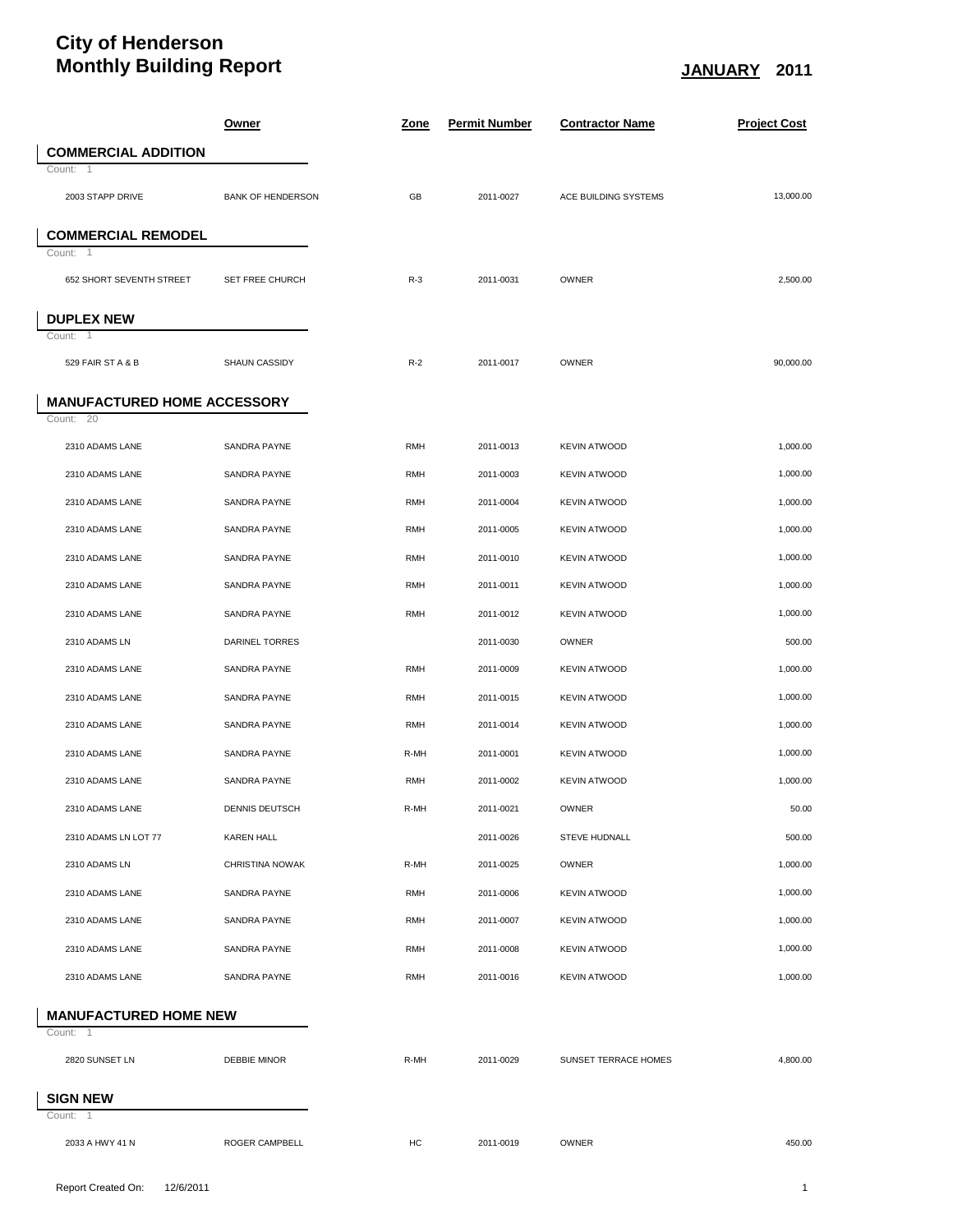## **City of Henderson Monthly Building Report JANUARY 2011**

|                                    | <u>Owner</u>             | <u>Zone</u> | <b>Permit Number</b> | <b>Contractor Name</b> | <b>Project Cost</b> |  |
|------------------------------------|--------------------------|-------------|----------------------|------------------------|---------------------|--|
| <b>COMMERCIAL ADDITION</b>         |                          |             |                      |                        |                     |  |
| Count: 1                           |                          |             |                      |                        |                     |  |
| 2003 STAPP DRIVE                   | <b>BANK OF HENDERSON</b> | GB          | 2011-0027            | ACE BUILDING SYSTEMS   | 13,000.00           |  |
| <b>COMMERCIAL REMODEL</b>          |                          |             |                      |                        |                     |  |
| Count: 1                           |                          |             |                      |                        |                     |  |
| 652 SHORT SEVENTH STREET           | SET FREE CHURCH          | $R-3$       | 2011-0031            | OWNER                  | 2,500.00            |  |
| <b>DUPLEX NEW</b>                  |                          |             |                      |                        |                     |  |
| Count: 1                           |                          |             |                      |                        |                     |  |
| 529 FAIR ST A & B                  | SHAUN CASSIDY            | $R-2$       | 2011-0017            | OWNER                  | 90,000.00           |  |
| <b>MANUFACTURED HOME ACCESSORY</b> |                          |             |                      |                        |                     |  |
| Count: 20                          |                          |             |                      |                        |                     |  |
| 2310 ADAMS LANE                    | <b>SANDRA PAYNE</b>      | <b>RMH</b>  | 2011-0013            | <b>KEVIN ATWOOD</b>    | 1.000.00            |  |
| 2310 ADAMS LANE                    | SANDRA PAYNE             | <b>RMH</b>  | 2011-0003            | <b>KEVIN ATWOOD</b>    | 1,000.00            |  |
| 2310 ADAMS LANE                    | SANDRA PAYNE             | <b>RMH</b>  | 2011-0004            | <b>KEVIN ATWOOD</b>    | 1,000.00            |  |
| 2310 ADAMS LANE                    | SANDRA PAYNE             | <b>RMH</b>  | 2011-0005            | <b>KEVIN ATWOOD</b>    | 1,000.00            |  |
| 2310 ADAMS LANE                    | SANDRA PAYNE             | <b>RMH</b>  | 2011-0010            | <b>KEVIN ATWOOD</b>    | 1,000.00            |  |
| 2310 ADAMS LANE                    | SANDRA PAYNE             | <b>RMH</b>  | 2011-0011            | <b>KEVIN ATWOOD</b>    | 1,000.00            |  |
| 2310 ADAMS LANE                    | SANDRA PAYNE             | <b>RMH</b>  | 2011-0012            | <b>KEVIN ATWOOD</b>    | 1,000.00            |  |
| 2310 ADAMS LN                      | DARINEL TORRES           |             | 2011-0030            | OWNER                  | 500.00              |  |
| 2310 ADAMS LANE                    | SANDRA PAYNE             | <b>RMH</b>  | 2011-0009            | <b>KEVIN ATWOOD</b>    | 1,000.00            |  |
| 2310 ADAMS LANE                    | SANDRA PAYNE             | <b>RMH</b>  | 2011-0015            | <b>KEVIN ATWOOD</b>    | 1,000.00            |  |
| 2310 ADAMS LANE                    | SANDRA PAYNE             | <b>RMH</b>  | 2011-0014            | <b>KEVIN ATWOOD</b>    | 1,000.00            |  |
| 2310 ADAMS LANE                    |                          |             | 2011-0001            |                        |                     |  |
|                                    | SANDRA PAYNE             | R-MH        |                      | <b>KEVIN ATWOOD</b>    | 1,000.00            |  |
| 2310 ADAMS LANE                    | SANDRA PAYNE             | <b>RMH</b>  | 2011-0002            | <b>KEVIN ATWOOD</b>    | 1,000.00            |  |
| 2310 ADAMS LANE                    | DENNIS DEUTSCH           | R-MH        | 2011-0021            | OWNER                  | 50.00               |  |
| 2310 ADAMS LN LOT 77               | <b>KAREN HALL</b>        |             | 2011-0026            | <b>STEVE HUDNALL</b>   | 500.00              |  |
| 2310 ADAMS LN                      | CHRISTINA NOWAK          | R-MH        | 2011-0025            | OWNER                  | 1,000.00            |  |
| 2310 ADAMS LANE                    | SANDRA PAYNE             | <b>RMH</b>  | 2011-0006            | <b>KEVIN ATWOOD</b>    | 1,000.00            |  |
| 2310 ADAMS LANE                    | SANDRA PAYNE             | <b>RMH</b>  | 2011-0007            | <b>KEVIN ATWOOD</b>    | 1,000.00            |  |
| 2310 ADAMS LANE                    | SANDRA PAYNE             | <b>RMH</b>  | 2011-0008            | <b>KEVIN ATWOOD</b>    | 1,000.00            |  |
| 2310 ADAMS LANE                    | SANDRA PAYNE             | <b>RMH</b>  | 2011-0016            | <b>KEVIN ATWOOD</b>    | 1,000.00            |  |
| <b>MANUFACTURED HOME NEW</b>       |                          |             |                      |                        |                     |  |
| Count: 1                           |                          |             |                      |                        |                     |  |
| 2820 SUNSET LN                     | <b>DEBBIE MINOR</b>      | R-MH        | 2011-0029            | SUNSET TERRACE HOMES   | 4,800.00            |  |
|                                    |                          |             |                      |                        |                     |  |
| <b>SIGN NEW</b><br>Count: 1        |                          |             |                      |                        |                     |  |
| 2033 A HWY 41 N                    | ROGER CAMPBELL           | HC          | 2011-0019            | OWNER                  | 450.00              |  |